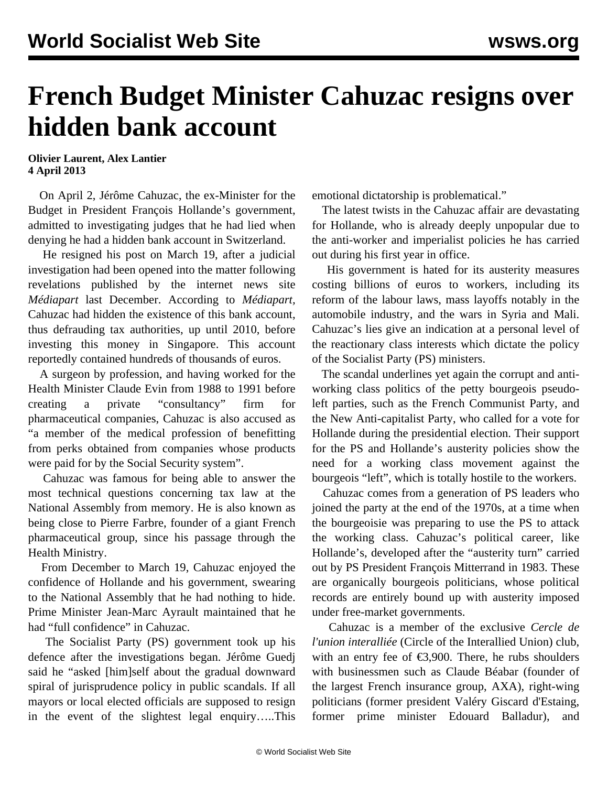## **French Budget Minister Cahuzac resigns over hidden bank account**

**Olivier Laurent, Alex Lantier 4 April 2013**

 On April 2, Jérôme Cahuzac, the ex-Minister for the Budget in President François Hollande's government, admitted to investigating judges that he had lied when denying he had a hidden bank account in Switzerland.

 He resigned his post on March 19, after a judicial investigation had been opened into the matter following revelations published by the internet news site *Médiapart* last December. According to *Médiapart,* Cahuzac had hidden the existence of this bank account, thus defrauding tax authorities, up until 2010, before investing this money in Singapore. This account reportedly contained hundreds of thousands of euros.

 A surgeon by profession, and having worked for the Health Minister Claude Evin from 1988 to 1991 before creating a private "consultancy" firm for pharmaceutical companies, Cahuzac is also accused as "a member of the medical profession of benefitting from perks obtained from companies whose products were paid for by the Social Security system".

 Cahuzac was famous for being able to answer the most technical questions concerning tax law at the National Assembly from memory. He is also known as being close to Pierre Farbre, founder of a giant French pharmaceutical group, since his passage through the Health Ministry.

 From December to March 19, Cahuzac enjoyed the confidence of Hollande and his government, swearing to the National Assembly that he had nothing to hide. Prime Minister Jean-Marc Ayrault maintained that he had "full confidence" in Cahuzac.

 The Socialist Party (PS) government took up his defence after the investigations began. Jérôme Guedj said he "asked [him]self about the gradual downward spiral of jurisprudence policy in public scandals. If all mayors or local elected officials are supposed to resign in the event of the slightest legal enquiry…..This

emotional dictatorship is problematical."

 The latest twists in the Cahuzac affair are devastating for Hollande, who is already deeply unpopular due to the anti-worker and imperialist policies he has carried out during his first year in office.

 His government is hated for its austerity measures costing billions of euros to workers, including its reform of the labour laws, mass layoffs notably in the automobile industry, and the wars in Syria and Mali. Cahuzac's lies give an indication at a personal level of the reactionary class interests which dictate the policy of the Socialist Party (PS) ministers.

 The scandal underlines yet again the corrupt and antiworking class politics of the petty bourgeois pseudoleft parties, such as the French Communist Party, and the New Anti-capitalist Party, who called for a vote for Hollande during the presidential election. Their support for the PS and Hollande's austerity policies show the need for a working class movement against the bourgeois "left", which is totally hostile to the workers.

 Cahuzac comes from a generation of PS leaders who joined the party at the end of the 1970s, at a time when the bourgeoisie was preparing to use the PS to attack the working class. Cahuzac's political career, like Hollande's, developed after the "austerity turn" carried out by PS President François Mitterrand in 1983. These are organically bourgeois politicians, whose political records are entirely bound up with austerity imposed under free-market governments.

 Cahuzac is a member of the exclusive *Cercle de l'union interalliée* (Circle of the Interallied Union) club, with an entry fee of  $\epsilon$ 3,900. There, he rubs shoulders with businessmen such as Claude Béabar (founder of the largest French insurance group, AXA), right-wing politicians (former president Valéry Giscard d'Estaing, former prime minister Edouard Balladur), and